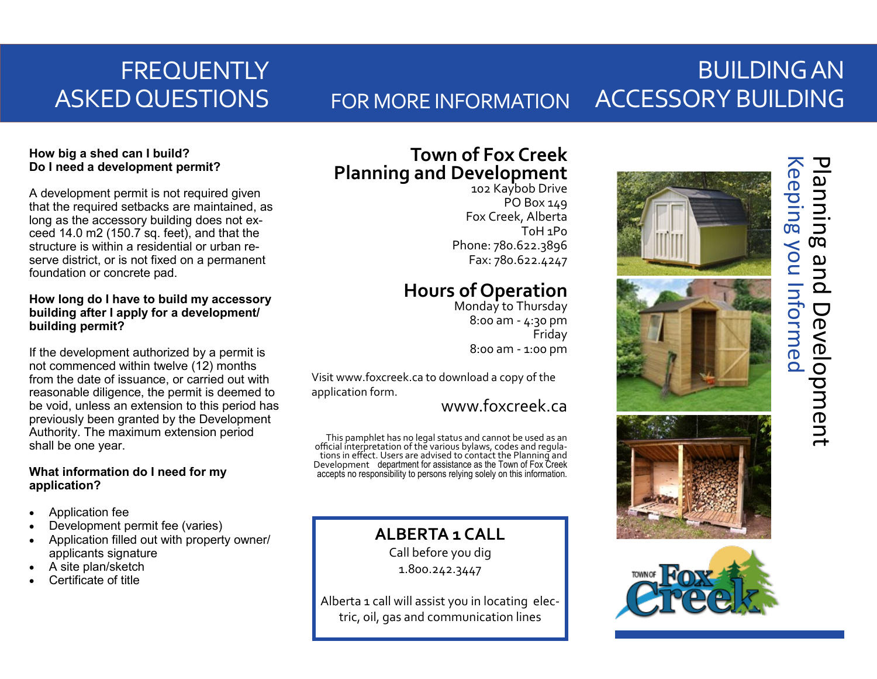# **FREQUENTLY** ASKED QUESTIONS

## BUILDING AN ACCESSORY BUILDING FOR MORE INFORMATION

## **How big a shed can I build? Do I need a development permit?**

A development permit is not required given that the required setbacks are maintained, as long as the accessory building does not exceed 14.0 m2 (150.7 sq. feet), and that the structure is within a residential or urban reserve district, or is not fixed on a permanent foundation or concrete pad.

## **How long do I have to build my accessory building after I apply for a development/ building permit?**

If the development authorized by a permit is not commenced within twelve (12) months from the date of issuance, or carried out with reasonable diligence, the permit is deemed to be void, unless an extension to this period has previously been granted by the Development Authority. The maximum extension period shall be one year.

## **What information do I need for my application?**

- Application fee
- Development permit fee (varies)
- Application filled out with property owner/ applicants signature
- A site plan/sketch
- Certificate of title

## **Town of Fox Creek Planning and Development**

102 Kaybob Drive PO Box 149 Fox Creek, Alberta T0H 1P0 Phone: 780.622.3896 Fax: 780.622.4247

## **Hours of Operation**

Monday to Thursday 8:00 am - 4:30 pm Friday 8:00 am - 1:00 pm

Visit www.foxcreek.ca to download a copy of the application form.

www.foxcreek.ca

This pamphlet has no legal status and cannot be used as an official interpretation of the various bylaws, codes and regulations in effect. Users are advised to contact the Planning and Development department for assistance as the Town of Fox Creek accepts no responsibility to persons relying solely on this information.

## **ALBERTA 1 CALL**

Call before you dig 1.800.242.3447

Alberta 1 call will assist you in locating electric, oil, gas and communication lines





# Keeping you Informed Planning and Development Keeping you Informed Planning and Development